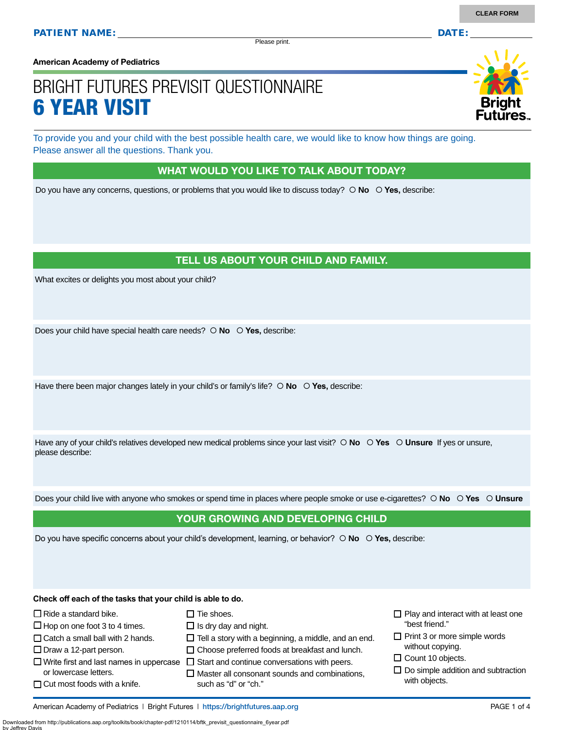Please print.

**American Academy of Pediatrics**

# BRIGHT FUTURES PREVISIT QUESTIONNAIRE 6 YEAR VISIT

To provide you and your child with the best possible health care, we would like to know how things are going. Please answer all the questions. Thank you.

#### WHAT WOULD YOU LIKE TO TALK ABOUT TODAY?

Do you have any concerns, questions, or problems that you would like to discuss today?  $\circ$  No  $\circ$  Yes, describe:

#### TELL US ABOUT YOUR CHILD AND FAMILY.

What excites or delights you most about your child?

Does your child have special health care needs?  $\circ$  **No**  $\circ$  **Yes**, describe:

Have there been major changes lately in your child's or family's life?  $\circ$  **No**  $\circ$  **Yes**, describe:

Have any of your child's relatives developed new medical problems since your last visit?  $\circ$  **No**  $\circ$  **Yes**  $\circ$  **Unsure** If yes or unsure, please describe:

Does your child live with anyone who smokes or spend time in places where people smoke or use e-cigarettes?  **No Yes Unsure**

#### YOUR GROWING AND DEVELOPING CHILD

Do you have specific concerns about your child's development, learning, or behavior?  $\circ$  **No**  $\circ$  **Yes**, describe:

**Check off each of the tasks that your child is able to do.**

 $\square$  Tie shoes.

- $\Box$  Is dry day and night.
- $\Box$  Tell a story with a beginning, a middle, and an end.
- $\Box$  Catch a small ball with 2 hands.  $\Box$  Draw a 12-part person.

 $\Box$  Ride a standard bike.  $\Box$  Hop on one foot 3 to 4 times.

- or lowercase letters.
- $\Box$  Cut most foods with a knife.

by Jeffrey Davis

- $\square$  Choose preferred foods at breakfast and lunch.
- $\Box$  Write first and last names in uppercase  $\Box$  Start and continue conversations with peers.
	- $\square$  Master all consonant sounds and combinations, such as "d" or "ch."
- $\Box$  Play and interact with at least one "best friend."
- $\Box$  Print 3 or more simple words without copying.
- $\square$  Count 10 objects.
- $\square$  Do simple addition and subtraction with objects.

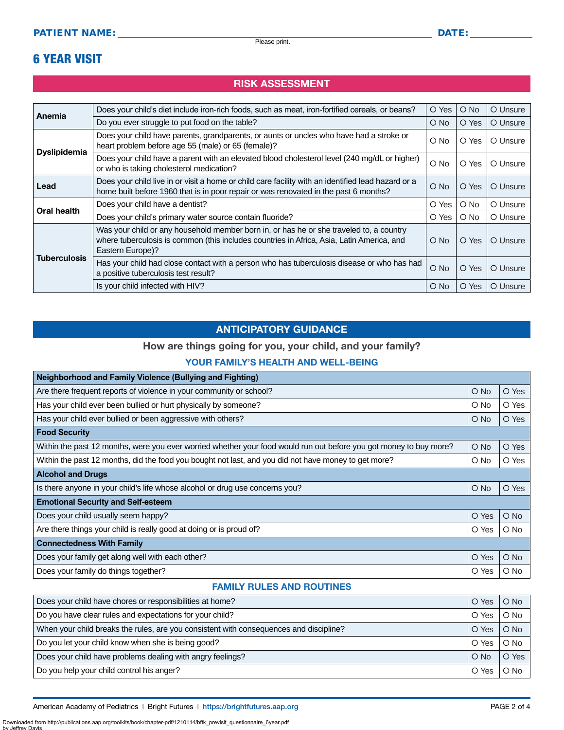### 6 YEAR VISIT

#### RISK ASSESSMENT

| Anemia              | Does your child's diet include iron-rich foods, such as meat, iron-fortified cereals, or beans?                                                                                                          | O Yes      | $\bigcirc$ No | O Unsure |
|---------------------|----------------------------------------------------------------------------------------------------------------------------------------------------------------------------------------------------------|------------|---------------|----------|
|                     | Do you ever struggle to put food on the table?                                                                                                                                                           | O No       | O Yes         | O Unsure |
| <b>Dyslipidemia</b> | Does your child have parents, grandparents, or aunts or uncles who have had a stroke or<br>heart problem before age 55 (male) or 65 (female)?                                                            | O No       | O Yes         | O Unsure |
|                     | Does your child have a parent with an elevated blood cholesterol level (240 mg/dL or higher)<br>or who is taking cholesterol medication?                                                                 | $O$ No     | O Yes         | O Unsure |
| Lead                | Does your child live in or visit a home or child care facility with an identified lead hazard or a<br>home built before 1960 that is in poor repair or was renovated in the past 6 months?               | $O$ No     | O Yes         | O Unsure |
| <b>Oral health</b>  | Does your child have a dentist?                                                                                                                                                                          | O Yes      | O No          | O Unsure |
|                     | Does your child's primary water source contain fluoride?                                                                                                                                                 | O Yes      | $\bigcirc$ No | O Unsure |
| <b>Tuberculosis</b> | Was your child or any household member born in, or has he or she traveled to, a country<br>where tuberculosis is common (this includes countries in Africa, Asia, Latin America, and<br>Eastern Europe)? | $\circ$ No | O Yes         | O Unsure |
|                     | Has your child had close contact with a person who has tuberculosis disease or who has had<br>a positive tuberculosis test result?                                                                       | $O$ No     | O Yes         | O Unsure |
|                     | Is your child infected with HIV?                                                                                                                                                                         | O No       | O Yes         | O Unsure |

#### ANTICIPATORY GUIDANCE

#### How are things going for you, your child, and your family?

#### YOUR FAMILY'S HEALTH AND WELL-BEING

| <b>Neighborhood and Family Violence (Bullying and Fighting)</b>                                                    |            |               |  |
|--------------------------------------------------------------------------------------------------------------------|------------|---------------|--|
| Are there frequent reports of violence in your community or school?                                                | $O$ No     | O Yes         |  |
| Has your child ever been bullied or hurt physically by someone?                                                    | $\circ$ No | O Yes         |  |
| Has your child ever bullied or been aggressive with others?                                                        | $\circ$ No | O Yes         |  |
| <b>Food Security</b>                                                                                               |            |               |  |
| Within the past 12 months, were you ever worried whether your food would run out before you got money to buy more? | $\circ$ No | O Yes         |  |
| Within the past 12 months, did the food you bought not last, and you did not have money to get more?               | $\circ$ No | O Yes         |  |
| <b>Alcohol and Drugs</b>                                                                                           |            |               |  |
| Is there anyone in your child's life whose alcohol or drug use concerns you?                                       | $O$ No     | O Yes         |  |
| <b>Emotional Security and Self-esteem</b>                                                                          |            |               |  |
| Does your child usually seem happy?                                                                                | O Yes      | $\bigcirc$ No |  |
| Are there things your child is really good at doing or is proud of?                                                | O Yes      | $\circ$ No    |  |
| <b>Connectedness With Family</b>                                                                                   |            |               |  |
| Does your family get along well with each other?                                                                   | O Yes      | $O$ No        |  |
| Does your family do things together?                                                                               | O Yes      | $\bigcirc$ No |  |

#### FAMILY RULES AND ROUTINES

| Does your child have chores or responsibilities at home?                               | O Yes  | $O$ No |
|----------------------------------------------------------------------------------------|--------|--------|
| Do you have clear rules and expectations for your child?                               | O Yes  | $O$ No |
| When your child breaks the rules, are you consistent with consequences and discipline? | O Yes  | $O$ No |
| Do you let your child know when she is being good?                                     | O Yes  | $O$ No |
| Does your child have problems dealing with angry feelings?                             | $O$ No | O Yes  |
| Do you help your child control his anger?                                              | O Yes  | O No   |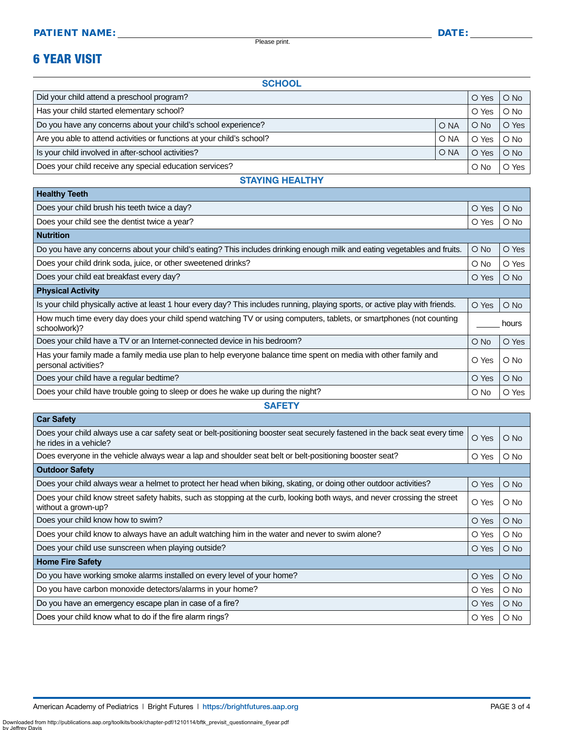Please print.

## 6 YEAR VISIT

**Healthy Teeth**

**SCHOOL** 

| Did your child attend a preschool program?                             |                 | O Yes      | $O$ No |
|------------------------------------------------------------------------|-----------------|------------|--------|
| Has your child started elementary school?                              |                 | O Yes      | $O$ No |
| Do you have any concerns about your child's school experience?         | O <sub>NA</sub> | $O$ No     | O Yes  |
| Are you able to attend activities or functions at your child's school? | O NA            | O Yes      | $O$ No |
| Is your child involved in after-school activities?                     | O NA            | O Yes      | $O$ No |
| Does your child receive any special education services?                |                 | $\circ$ No | O Yes  |

| Does your child brush his teeth twice a day?                                                                                            | O Yes         | $\bigcirc$ No |
|-----------------------------------------------------------------------------------------------------------------------------------------|---------------|---------------|
| Does your child see the dentist twice a year?                                                                                           | O Yes         | $\circ$ No    |
| <b>Nutrition</b>                                                                                                                        |               |               |
| Do you have any concerns about your child's eating? This includes drinking enough milk and eating vegetables and fruits.                | $\bigcirc$ No | O Yes         |
| Does your child drink soda, juice, or other sweetened drinks?                                                                           | $\circ$ No    | O Yes         |
| Does your child eat breakfast every day?                                                                                                | O Yes         | $O$ No        |
| <b>Physical Activity</b>                                                                                                                |               |               |
| Is your child physically active at least 1 hour every day? This includes running, playing sports, or active play with friends.          | O Yes         | $\bigcirc$ No |
| How much time every day does your child spend watching TV or using computers, tablets, or smartphones (not counting<br>schoolwork)?     |               | hours         |
| Does your child have a TV or an Internet-connected device in his bedroom?                                                               | $\bigcirc$ No | O Yes         |
| Has your family made a family media use plan to help everyone balance time spent on media with other family and<br>personal activities? | O Yes         | $O$ No        |
| Does your child have a regular bedtime?                                                                                                 | O Yes         | $\bigcirc$ No |
| Does your child have trouble going to sleep or does he wake up during the night?                                                        | O No          | O Yes         |
|                                                                                                                                         |               |               |

#### STAYING HEALTHY

**SAFETY** 

| <b>Car Safety</b>                                                                                                                                     |       |               |  |
|-------------------------------------------------------------------------------------------------------------------------------------------------------|-------|---------------|--|
| Does your child always use a car safety seat or belt-positioning booster seat securely fastened in the back seat every time<br>he rides in a vehicle? | O Yes | $O$ No        |  |
| Does everyone in the vehicle always wear a lap and shoulder seat belt or belt-positioning booster seat?                                               | O Yes | O No          |  |
| <b>Outdoor Safety</b>                                                                                                                                 |       |               |  |
| Does your child always wear a helmet to protect her head when biking, skating, or doing other outdoor activities?                                     | O Yes | $\bigcirc$ No |  |
| Does your child know street safety habits, such as stopping at the curb, looking both ways, and never crossing the street<br>without a grown-up?      | O Yes | O No          |  |
| Does your child know how to swim?                                                                                                                     | O Yes | $\bigcirc$ No |  |
| Does your child know to always have an adult watching him in the water and never to swim alone?                                                       | O Yes | O No          |  |
| Does your child use sunscreen when playing outside?                                                                                                   | O Yes | $\bigcirc$ No |  |
| <b>Home Fire Safety</b>                                                                                                                               |       |               |  |
| Do you have working smoke alarms installed on every level of your home?                                                                               | O Yes | $\bigcirc$ No |  |
| Do you have carbon monoxide detectors/alarms in your home?                                                                                            | O Yes | $\circ$ No    |  |
| Do you have an emergency escape plan in case of a fire?                                                                                               | O Yes | $\bigcirc$ No |  |
| Does your child know what to do if the fire alarm rings?                                                                                              | O Yes | O No          |  |